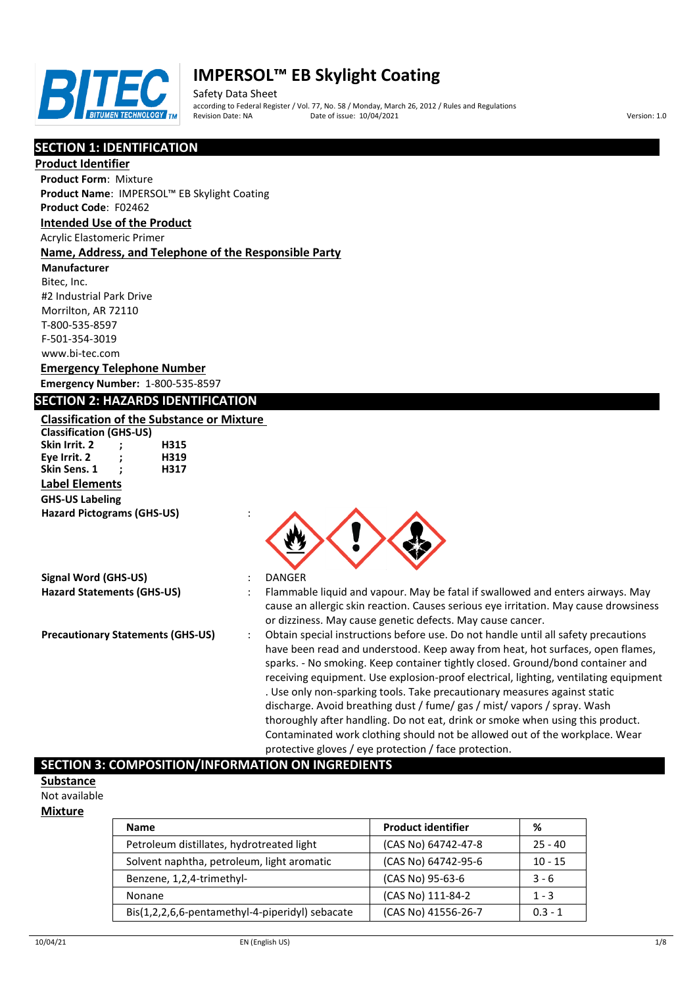

Safety Data Sheet according to Federal Register / Vol. 77, No. 58 / Monday, March 26, 2012 / Rules and Regulations Pate of issue: 10/04/2021 **Version: 1.0** 

# **SECTION 1: IDENTIFICATION**

#### **Product Identifier**

**Product Form**: Mixture **Product Name**: IMPERSOL™ EB Skylight Coating

#### **Product Code**: F02462

#### **Intended Use of the Product**

Acrylic Elastomeric Primer

#### **Name, Address, and Telephone of the Responsible Party**

**Manufacturer** Bitec, Inc.

#2 Industrial Park Drive Morrilton, AR 72110 T-800-535-8597 F-501-354-3019 www.bi-tec.com

## **Emergency Telephone Number Emergency Number:** 1-800-535-8597

## **SECTION 2: HAZARDS IDENTIFICATION**

**Classification of the Substance or Mixture Classification (GHS-US)**

**Skin Irrit. 2 ; H315 Eye Irrit. 2 ; H319 Skin Sens. 1 Label Elements GHS-US Labeling Hazard Pictograms (GHS-US)** :

**Signal Word (GHS-US)** : DANGER



- 
- **Hazard Statements (GHS-US)** : Flammable liquid and vapour. May be fatal if swallowed and enters airways. May cause an allergic skin reaction. Causes serious eye irritation. May cause drowsiness or dizziness. May cause genetic defects. May cause cancer.
- **Precautionary Statements (GHS-US)** : Obtain special instructions before use. Do not handle until all safety precautions have been read and understood. Keep away from heat, hot surfaces, open flames, sparks. - No smoking. Keep container tightly closed. Ground/bond container and receiving equipment. Use explosion-proof electrical, lighting, ventilating equipment . Use only non-sparking tools. Take precautionary measures against static discharge. Avoid breathing dust / fume/ gas / mist/ vapors / spray. Wash thoroughly after handling. Do not eat, drink or smoke when using this product. Contaminated work clothing should not be allowed out of the workplace. Wear protective gloves / eye protection / face protection.

## **SECTION 3: COMPOSITION/INFORMATION ON INGREDIENTS**

**Substance** Not available

#### **Mixture**

| <b>Name</b>                                     | <b>Product identifier</b> | %         |
|-------------------------------------------------|---------------------------|-----------|
| Petroleum distillates, hydrotreated light       | (CAS No) 64742-47-8       | $25 - 40$ |
| Solvent naphtha, petroleum, light aromatic      | (CAS No) 64742-95-6       | $10 - 15$ |
| Benzene, 1,2,4-trimethyl-                       | (CAS No) 95-63-6          | $3 - 6$   |
| Nonane                                          | (CAS No) 111-84-2         | $1 - 3$   |
| Bis(1,2,2,6,6-pentamethyl-4-piperidyl) sebacate | (CAS No) 41556-26-7       | $0.3 - 1$ |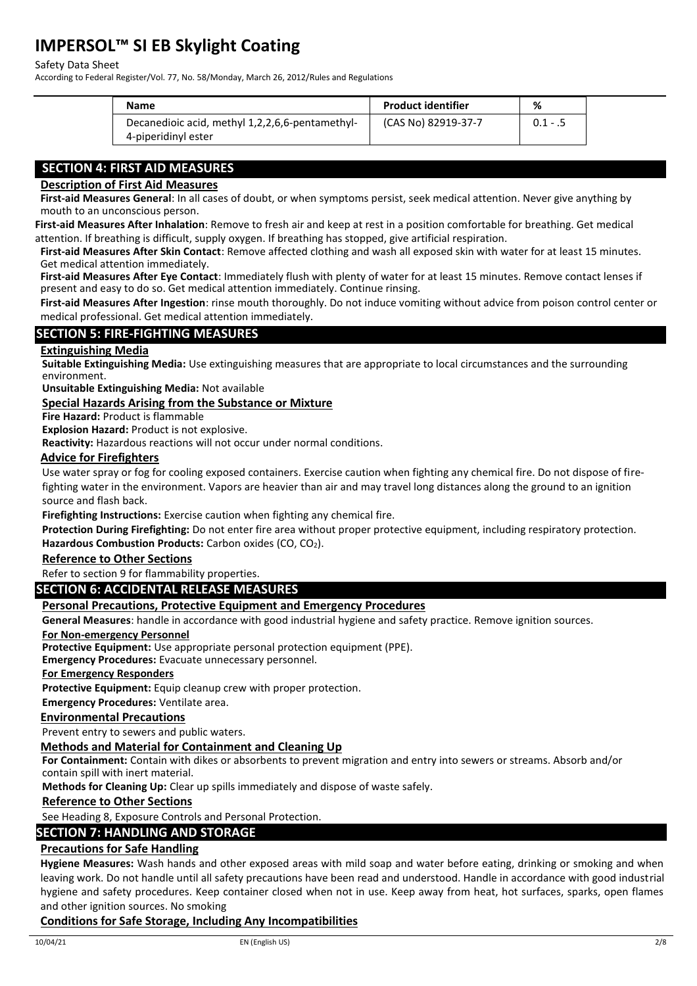#### Safety Data Sheet

According to Federal Register/Vol. 77, No. 58/Monday, March 26, 2012/Rules and Regulations

| <b>Name</b>                                                            | <b>Product identifier</b> | %          |
|------------------------------------------------------------------------|---------------------------|------------|
| Decanedioic acid, methyl 1,2,2,6,6-pentamethyl-<br>4-piperidinyl ester | (CAS No) 82919-37-7       | $0.1 - .5$ |

# **SECTION 4: FIRST AID MEASURES**

#### **Description of First Aid Measures**

**First-aid Measures General**: In all cases of doubt, or when symptoms persist, seek medical attention. Never give anything by mouth to an unconscious person.

**First-aid Measures After Inhalation**: Remove to fresh air and keep at rest in a position comfortable for breathing. Get medical attention. If breathing is difficult, supply oxygen. If breathing has stopped, give artificial respiration.

**First-aid Measures After Skin Contact**: Remove affected clothing and wash all exposed skin with water for at least 15 minutes. Get medical attention immediately.

**First-aid Measures After Eye Contact**: Immediately flush with plenty of water for at least 15 minutes. Remove contact lenses if present and easy to do so. Get medical attention immediately. Continue rinsing.

**First-aid Measures After Ingestion**: rinse mouth thoroughly. Do not induce vomiting without advice from poison control center or medical professional. Get medical attention immediately.

## **SECTION 5: FIRE-FIGHTING MEASURES**

#### **Extinguishing Media**

**Suitable Extinguishing Media:** Use extinguishing measures that are appropriate to local circumstances and the surrounding environment.

**Unsuitable Extinguishing Media:** Not available

**Special Hazards Arising from the Substance or Mixture**

**Fire Hazard:** Product is flammable

**Explosion Hazard:** Product is not explosive.

**Reactivity:** Hazardous reactions will not occur under normal conditions.

#### **Advice for Firefighters**

Use water spray or fog for cooling exposed containers. Exercise caution when fighting any chemical fire. Do not dispose of firefighting water in the environment. Vapors are heavier than air and may travel long distances along the ground to an ignition source and flash back.

**Firefighting Instructions:** Exercise caution when fighting any chemical fire.

**Protection During Firefighting:** Do not enter fire area without proper protective equipment, including respiratory protection.

Hazardous Combustion Products: Carbon oxides (CO, CO<sub>2</sub>).

#### **Reference to Other Sections**

Refer to section 9 for flammability properties.

## **SECTION 6: ACCIDENTAL RELEASE MEASURES**

#### **Personal Precautions, Protective Equipment and Emergency Procedures**

**General Measures**: handle in accordance with good industrial hygiene and safety practice. Remove ignition sources.

#### **For Non-emergency Personnel**

**Protective Equipment:** Use appropriate personal protection equipment (PPE).

**Emergency Procedures:** Evacuate unnecessary personnel.

**For Emergency Responders**

**Protective Equipment:** Equip cleanup crew with proper protection.

**Emergency Procedures:** Ventilate area.

#### **Environmental Precautions**

Prevent entry to sewers and public waters.

#### **Methods and Material for Containment and Cleaning Up**

**For Containment:** Contain with dikes or absorbents to prevent migration and entry into sewers or streams. Absorb and/or contain spill with inert material.

**Methods for Cleaning Up:** Clear up spills immediately and dispose of waste safely.

#### **Reference to Other Sections**

See Heading 8, Exposure Controls and Personal Protection.

## **SECTION 7: HANDLING AND STORAGE**

#### **Precautions for Safe Handling**

**Hygiene Measures:** Wash hands and other exposed areas with mild soap and water before eating, drinking or smoking and when leaving work. Do not handle until all safety precautions have been read and understood. Handle in accordance with good industrial hygiene and safety procedures. Keep container closed when not in use. Keep away from heat, hot surfaces, sparks, open flames and other ignition sources. No smoking

#### **Conditions for Safe Storage, Including Any Incompatibilities**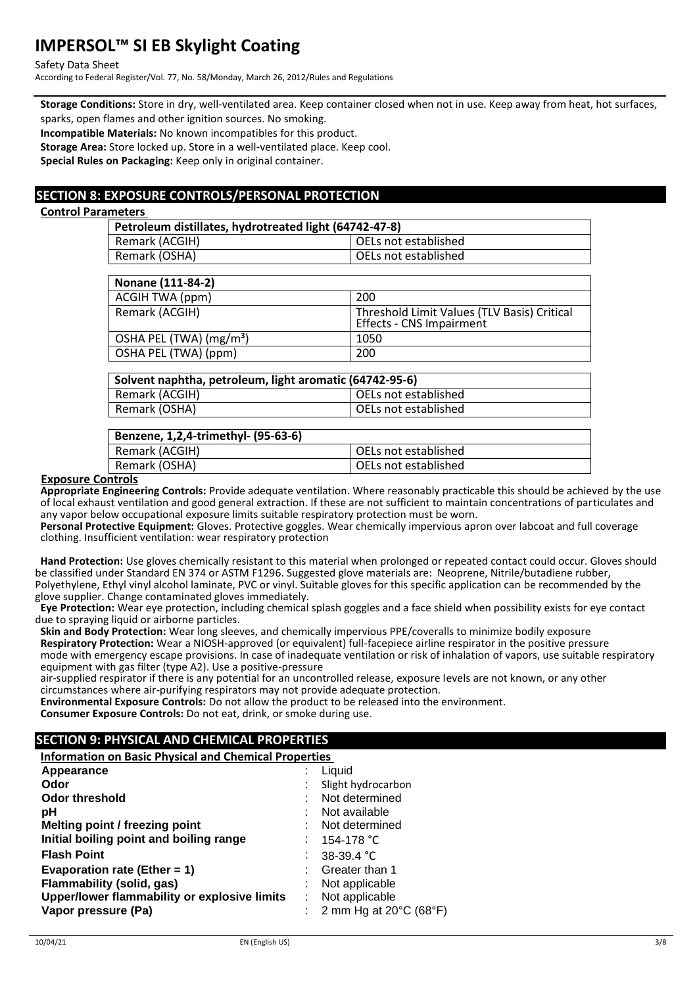Safety Data Sheet

According to Federal Register/Vol. 77, No. 58/Monday, March 26, 2012/Rules and Regulations

**Storage Conditions:** Store in dry, well-ventilated area. Keep container closed when not in use. Keep away from heat, hot surfaces, sparks, open flames and other ignition sources. No smoking.

**Incompatible Materials:** No known incompatibles for this product.

**Storage Area:** Store locked up. Store in a well-ventilated place. Keep cool.

**Special Rules on Packaging:** Keep only in original container.

# **SECTION 8: EXPOSURE CONTROLS/PERSONAL PROTECTION**

#### **Control Parameters**

| Petroleum distillates, hydrotreated light (64742-47-8) |                      |  |
|--------------------------------------------------------|----------------------|--|
| Remark (ACGIH)                                         | OELs not established |  |
| Remark (OSHA)                                          | OELs not established |  |

| Nonane (111-84-2)                   |                                                                         |
|-------------------------------------|-------------------------------------------------------------------------|
| ACGIH TWA (ppm)                     | 200                                                                     |
| Remark (ACGIH)                      | Threshold Limit Values (TLV Basis) Critical<br>Effects - CNS Impairment |
| OSHA PEL (TWA) (mg/m <sup>3</sup> ) | 1050                                                                    |
| OSHA PEL (TWA) (ppm)                | 200                                                                     |

| Solvent naphtha, petroleum, light aromatic (64742-95-6) |                      |  |
|---------------------------------------------------------|----------------------|--|
| Remark (ACGIH)                                          | OELs not established |  |
| Remark (OSHA)                                           | OELs not established |  |
|                                                         |                      |  |

#### **Benzene, 1,2,4-trimethyl- (95-63-6)**

| DCIILCIIC, 1,2,4-001111C01191- (JJ-0J-0) |                      |
|------------------------------------------|----------------------|
| Remark (ACGIH)                           | OELs not established |
| Remark (OSHA)                            | OELs not established |
|                                          |                      |

#### **Exposure Controls**

**Appropriate Engineering Controls:** Provide adequate ventilation. Where reasonably practicable this should be achieved by the use of local exhaust ventilation and good general extraction. If these are not sufficient to maintain concentrations of particulates and any vapor below occupational exposure limits suitable respiratory protection must be worn.

**Personal Protective Equipment:** Gloves. Protective goggles. Wear chemically impervious apron over labcoat and full coverage clothing. Insufficient ventilation: wear respiratory protection

**Hand Protection:** Use gloves chemically resistant to this material when prolonged or repeated contact could occur. Gloves should be classified under Standard EN 374 or ASTM F1296. Suggested glove materials are: Neoprene, Nitrile/butadiene rubber, Polyethylene, Ethyl vinyl alcohol laminate, PVC or vinyl. Suitable gloves for this specific application can be recommended by the glove supplier. Change contaminated gloves immediately.

**Eye Protection:** Wear eye protection, including chemical splash goggles and a face shield when possibility exists for eye contact due to spraying liquid or airborne particles.

**Skin and Body Protection:** Wear long sleeves, and chemically impervious PPE/coveralls to minimize bodily exposure **Respiratory Protection:** Wear a NIOSH-approved (or equivalent) full-facepiece airline respirator in the positive pressure mode with emergency escape provisions. In case of inadequate ventilation or risk of inhalation of vapors, use suitable respiratory equipment with gas filter (type A2). Use a positive-pressure

air-supplied respirator if there is any potential for an uncontrolled release, exposure levels are not known, or any other circumstances where air-purifying respirators may not provide adequate protection.

**Environmental Exposure Controls:** Do not allow the product to be released into the environment.

**Consumer Exposure Controls:** Do not eat, drink, or smoke during use.

# **SECTION 9: PHYSICAL AND CHEMICAL PROPERTIES**

## **Information on Basic Physical and Chemical Properties**

|                                              | Liquid                                      |
|----------------------------------------------|---------------------------------------------|
|                                              | Slight hydrocarbon                          |
|                                              | Not determined                              |
|                                              | Not available                               |
|                                              | Not determined                              |
|                                              | 154-178 °C                                  |
|                                              | 38-39.4 °C                                  |
|                                              | Greater than 1                              |
|                                              | Not applicable                              |
| Upper/lower flammability or explosive limits | Not applicable                              |
|                                              | 2 mm Hg at $20^{\circ}$ C (68 $^{\circ}$ F) |
|                                              |                                             |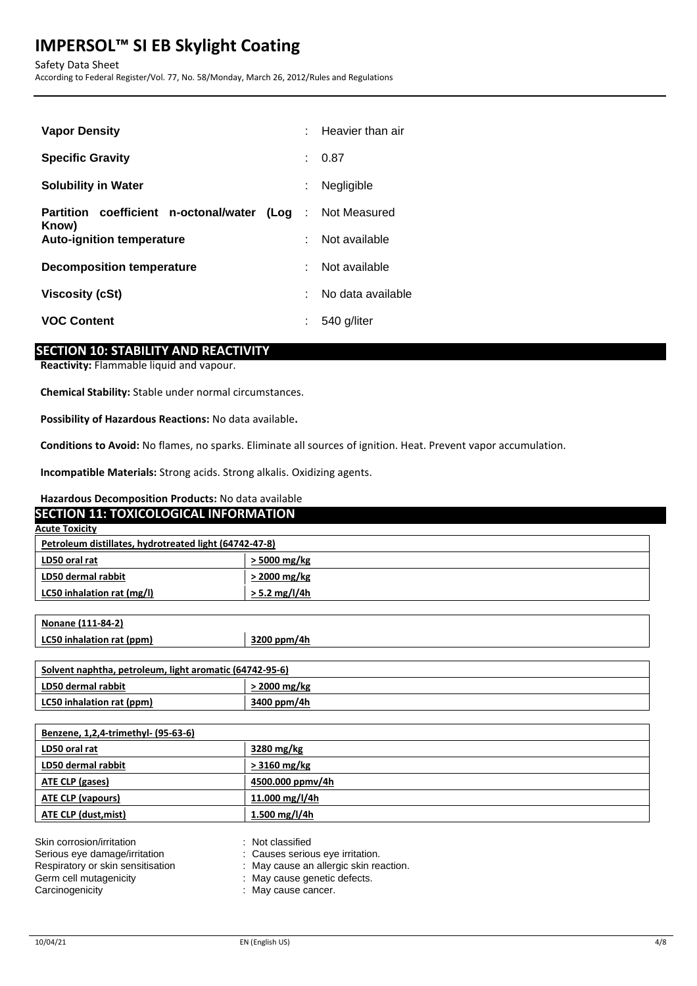Safety Data Sheet According to Federal Register/Vol. 77, No. 58/Monday, March 26, 2012/Rules and Regulations

| <b>Vapor Density</b>                                                      | $\bullet$ | Heavier than air  |
|---------------------------------------------------------------------------|-----------|-------------------|
| <b>Specific Gravity</b>                                                   | ٠         | 0.87              |
| <b>Solubility in Water</b>                                                |           | Negligible        |
| <b>Partition coefficient n-octonal/water (Log : Not Measured</b><br>Know) |           |                   |
| <b>Auto-ignition temperature</b>                                          | ۹         | Not available     |
| Decomposition temperature                                                 |           | Not available     |
| Viscosity (cSt)                                                           |           | No data available |
| <b>VOC Content</b>                                                        |           | 540 g/liter       |

## **SECTION 10: STABILITY AND REACTIVITY**

**Reactivity:** Flammable liquid and vapour.

**Chemical Stability:** Stable under normal circumstances.

**Possibility of Hazardous Reactions:** No data available**.**

**Conditions to Avoid:** No flames, no sparks. Eliminate all sources of ignition. Heat. Prevent vapor accumulation.

**Incompatible Materials:** Strong acids. Strong alkalis. Oxidizing agents.

#### **Hazardous Decomposition Products:** No data available

| <b>SECTION 11: TOXICOLOGICAL INFORMATION</b>            |                 |  |
|---------------------------------------------------------|-----------------|--|
| <b>Acute Toxicity</b>                                   |                 |  |
| Petroleum distillates, hydrotreated light (64742-47-8)  |                 |  |
| LD50 oral rat                                           | > 5000 mg/kg    |  |
| LD50 dermal rabbit                                      | > 2000 mg/kg    |  |
| LC50 inhalation rat (mg/l)                              | $> 5.2$ mg/l/4h |  |
|                                                         |                 |  |
| Nonane (111-84-2)                                       |                 |  |
| LC50 inhalation rat (ppm)                               | 3200 ppm/4h     |  |
|                                                         |                 |  |
| Solvent naphtha, petroleum, light aromatic (64742-95-6) |                 |  |
| LD50 dermal rabbit                                      | > 2000 mg/kg    |  |
| LC50 inhalation rat (ppm)                               | 3400 ppm/4h     |  |
|                                                         |                 |  |
| Benzene, 1,2,4-trimethyl- (95-63-6)                     |                 |  |
| LD50 oral rat                                           | 3280 mg/kg      |  |
| LD50 dermal rabbit                                      | $> 3160$ mg/kg  |  |

| ATE CLP (gases)           | 4500.000 ppmv/4h |  |
|---------------------------|------------------|--|
| ATE CLP (vapours)         | 11.000 mg/l/4h   |  |
| ATE CLP (dust,mist)       | 1.500 mg/l/4h    |  |
|                           |                  |  |
| Skin corrosion/irritation | Not classified   |  |

| SKIN corrosion/irritation         | : Not classified                       |
|-----------------------------------|----------------------------------------|
| Serious eye damage/irritation     | : Causes serious eye irritation.       |
| Respiratory or skin sensitisation | : May cause an allergic skin reaction. |
| Germ cell mutagenicity            | : May cause genetic defects.           |
| Carcinogenicity                   | : May cause cancer.                    |
|                                   |                                        |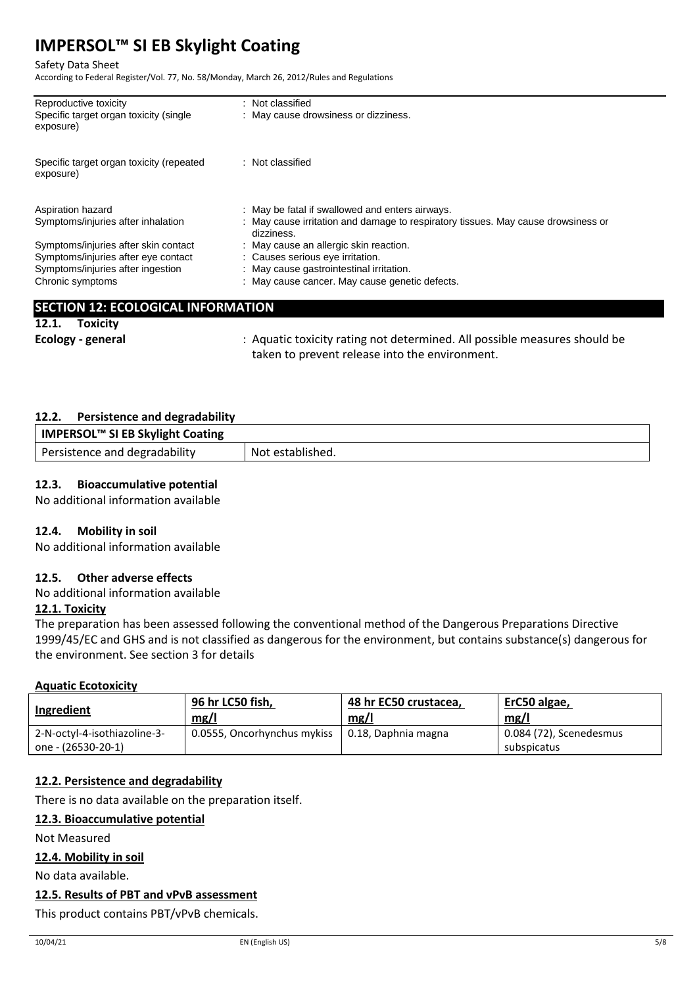Safety Data Sheet

According to Federal Register/Vol. 77, No. 58/Monday, March 26, 2012/Rules and Regulations

| Reproductive toxicity                                 | : Not classified                                                                                |
|-------------------------------------------------------|-------------------------------------------------------------------------------------------------|
| Specific target organ toxicity (single<br>exposure)   | : May cause drowsiness or dizziness.                                                            |
| Specific target organ toxicity (repeated<br>exposure) | : Not classified                                                                                |
| Aspiration hazard                                     | : May be fatal if swallowed and enters airways.                                                 |
| Symptoms/injuries after inhalation                    | : May cause irritation and damage to respiratory tissues. May cause drowsiness or<br>dizziness. |
| Symptoms/injuries after skin contact                  | : May cause an allergic skin reaction.                                                          |
| Symptoms/injuries after eye contact                   | : Causes serious eye irritation.                                                                |
| Symptoms/injuries after ingestion                     | : May cause gastrointestinal irritation.                                                        |
| Chronic symptoms                                      | : May cause cancer. May cause genetic defects.                                                  |
|                                                       |                                                                                                 |
| <b>SECTION 12: ECOLOGICAL INFORMATION</b>             |                                                                                                 |
| Toxicitv<br>12.1.                                     |                                                                                                 |

**Ecology - general** : Aquatic toxicity rating not determined. All possible measures should be taken to prevent release into the environment.

#### **12.2. Persistence and degradability**

| IMPERSOL™ SI EB Skylight Coating |                  |
|----------------------------------|------------------|
| Persistence and degradability    | Not established. |

## **12.3. Bioaccumulative potential**

No additional information available

## **12.4. Mobility in soil**

No additional information available

## **12.5. Other adverse effects**

No additional information available

## **12.1. Toxicity**

The preparation has been assessed following the conventional method of the Dangerous Preparations Directive 1999/45/EC and GHS and is not classified as dangerous for the environment, but contains substance(s) dangerous for the environment. See section 3 for details

#### **Aquatic Ecotoxicity**

| Ingredient                                         | 96 hr LC50 fish,            | 48 hr EC50 crustacea, | ErC50 algae,                           |
|----------------------------------------------------|-----------------------------|-----------------------|----------------------------------------|
|                                                    | mg/l                        | mg/1                  | mg/l                                   |
| 2-N-octyl-4-isothiazoline-3-<br>one - (26530-20-1) | 0.0555, Oncorhynchus mykiss | 0.18, Daphnia magna   | 0.084 (72), Scenedesmus<br>subspicatus |

## **12.2. Persistence and degradability**

There is no data available on the preparation itself.

## **12.3. Bioaccumulative potential**

Not Measured

## **12.4. Mobility in soil**

No data available.

#### **12.5. Results of PBT and vPvB assessment**

This product contains PBT/vPvB chemicals.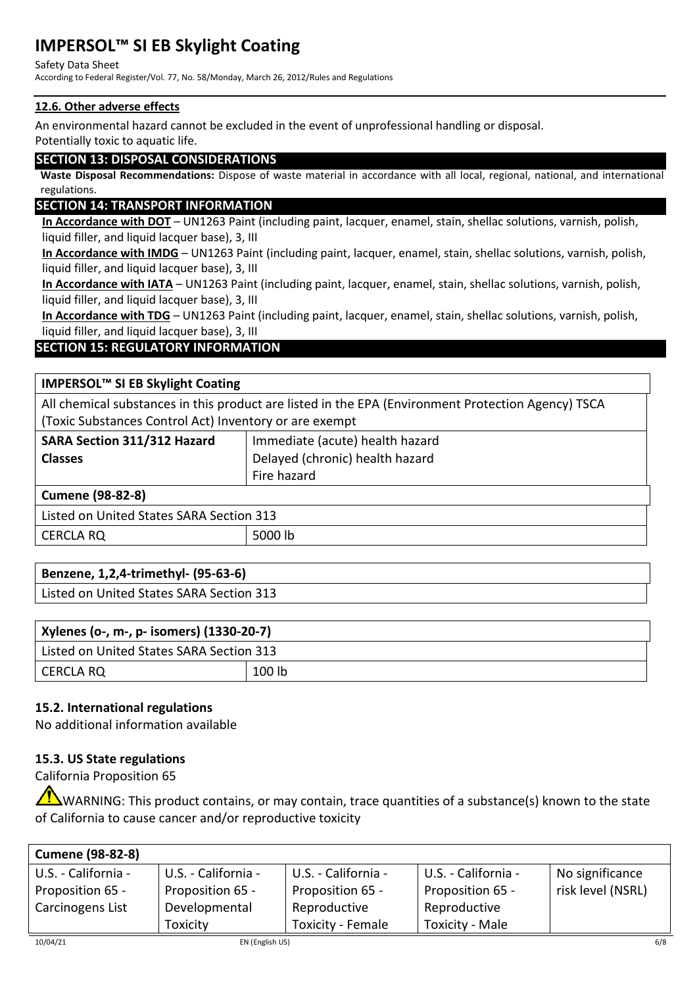Safety Data Sheet

According to Federal Register/Vol. 77, No. 58/Monday, March 26, 2012/Rules and Regulations

## **12.6. Other adverse effects**

An environmental hazard cannot be excluded in the event of unprofessional handling or disposal.

Potentially toxic to aquatic life.

## **SECTION 13: DISPOSAL CONSIDERATIONS**

**Waste Disposal Recommendations:** Dispose of waste material in accordance with all local, regional, national, and international regulations.

# **SECTION 14: TRANSPORT INFORMATION**

**In Accordance with DOT** – UN1263 Paint (including paint, lacquer, enamel, stain, shellac solutions, varnish, polish, liquid filler, and liquid lacquer base), 3, III

**In Accordance with IMDG** – UN1263 Paint (including paint, lacquer, enamel, stain, shellac solutions, varnish, polish, liquid filler, and liquid lacquer base), 3, III

**In Accordance with IATA** – UN1263 Paint (including paint, lacquer, enamel, stain, shellac solutions, varnish, polish, liquid filler, and liquid lacquer base), 3, III

**In Accordance with TDG** – UN1263 Paint (including paint, lacquer, enamel, stain, shellac solutions, varnish, polish, liquid filler, and liquid lacquer base), 3, III

# **SECTION 15: REGULATORY INFORMATION**

| IMPERSOL™ SI EB Skylight Coating                                                                   |                                 |  |  |
|----------------------------------------------------------------------------------------------------|---------------------------------|--|--|
| All chemical substances in this product are listed in the EPA (Environment Protection Agency) TSCA |                                 |  |  |
| (Toxic Substances Control Act) Inventory or are exempt                                             |                                 |  |  |
| SARA Section 311/312 Hazard                                                                        | Immediate (acute) health hazard |  |  |
| <b>Classes</b>                                                                                     | Delayed (chronic) health hazard |  |  |
|                                                                                                    | Fire hazard                     |  |  |
| <b>Cumene (98-82-8)</b>                                                                            |                                 |  |  |
| Listed on United States SARA Section 313                                                           |                                 |  |  |
| <b>CERCLA RQ</b>                                                                                   | 5000 lb                         |  |  |

| Benzene, 1,2,4-trimethyl- (95-63-6)      |  |
|------------------------------------------|--|
| Listed on United States SARA Section 313 |  |
|                                          |  |

| Xylenes (o-, m-, p- isomers) (1330-20-7) |        |  |
|------------------------------------------|--------|--|
| Listed on United States SARA Section 313 |        |  |
| I CERCLA RQ                              | 100 lb |  |

# **15.2. International regulations**

No additional information available

## **15.3. US State regulations**

California Proposition 65

WARNING: This product contains, or may contain, trace quantities of a substance(s) known to the state of California to cause cancer and/or reproductive toxicity

| <b>Cumene (98-82-8)</b> |                     |                          |                     |                   |
|-------------------------|---------------------|--------------------------|---------------------|-------------------|
| U.S. - California -     | U.S. - California - | U.S. - California -      | U.S. - California - | No significance   |
| Proposition 65 -        | Proposition 65 -    | Proposition 65 -         | Proposition 65 -    | risk level (NSRL) |
| Carcinogens List        | Developmental       | Reproductive             | Reproductive        |                   |
|                         | Toxicity            | <b>Toxicity - Female</b> | Toxicity - Male     |                   |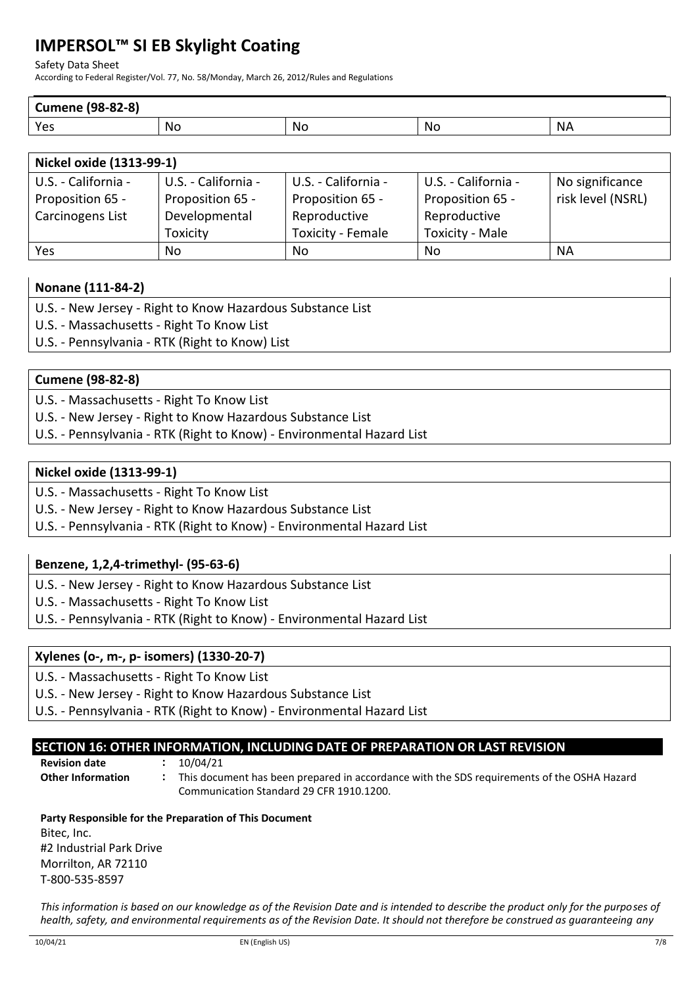Safety Data Sheet

According to Federal Register/Vol. 77, No. 58/Monday, March 26, 2012/Rules and Regulations

| <b>Cumene (98-82-8)</b> |                 |            |                 |           |
|-------------------------|-----------------|------------|-----------------|-----------|
| Yes                     | <b>No</b><br>__ | .Nc<br>___ | <b>Nc</b><br>__ | <b>NA</b> |

| Nickel oxide (1313-99-1) |                     |                     |                        |                   |
|--------------------------|---------------------|---------------------|------------------------|-------------------|
| U.S. - California -      | U.S. - California - | U.S. - California - | U.S. - California -    | No significance   |
| Proposition 65 -         | Proposition 65 -    | Proposition 65 -    | Proposition 65 -       | risk level (NSRL) |
| Carcinogens List         | Developmental       | Reproductive        | Reproductive           |                   |
|                          | Toxicity            | Toxicity - Female   | <b>Toxicity - Male</b> |                   |
| Yes                      | No.                 | No.                 | No                     | <b>NA</b>         |

## **Nonane (111-84-2)**

- U.S. New Jersey Right to Know Hazardous Substance List
- U.S. Massachusetts Right To Know List
- U.S. Pennsylvania RTK (Right to Know) List

## **Cumene (98-82-8)**

- U.S. Massachusetts Right To Know List
- U.S. New Jersey Right to Know Hazardous Substance List
- U.S. Pennsylvania RTK (Right to Know) Environmental Hazard List

## **Nickel oxide (1313-99-1)**

- U.S. Massachusetts Right To Know List
- U.S. New Jersey Right to Know Hazardous Substance List
- U.S. Pennsylvania RTK (Right to Know) Environmental Hazard List

## **Benzene, 1,2,4-trimethyl- (95-63-6)**

U.S. - New Jersey - Right to Know Hazardous Substance List

U.S. - Massachusetts - Right To Know List

U.S. - Pennsylvania - RTK (Right to Know) - Environmental Hazard List

## **Xylenes (o-, m-, p- isomers) (1330-20-7)**

U.S. - Massachusetts - Right To Know List

U.S. - New Jersey - Right to Know Hazardous Substance List

U.S. - Pennsylvania - RTK (Right to Know) - Environmental Hazard List

# **SECTION 16: OTHER INFORMATION, INCLUDING DATE OF PREPARATION OR LAST REVISION**

**Revision date :** 10/04/21

**Other Information :** This document has been prepared in accordance with the SDS requirements of the OSHA Hazard Communication Standard 29 CFR 1910.1200.

## **Party Responsible for the Preparation of This Document** Bitec, Inc. #2 Industrial Park Drive Morrilton, AR 72110 T-800-535-8597

*This information is based on our knowledge as of the Revision Date and is intended to describe the product only for the purposes of health, safety, and environmental requirements as of the Revision Date. It should not therefore be construed as guaranteeing any*